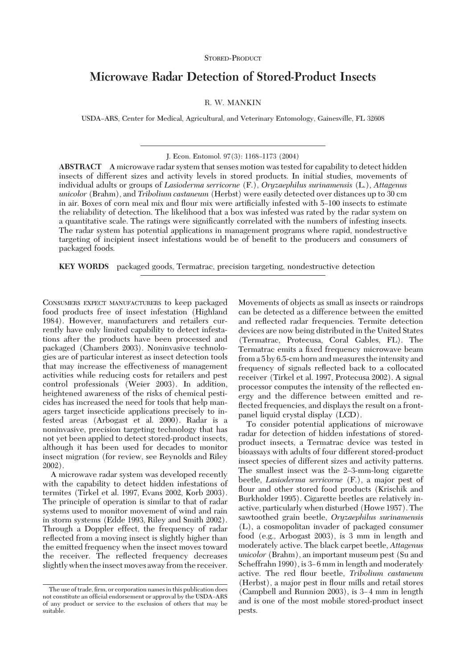## STORED-PRODUCT

# **Microwave Radar Detection of Stored-Product Insects**

R. W. MANKIN

USDA-ARS, Center for Medical, Agricultural, and Veterinary Entomology, Gainesville, FL 32608

J. Econ. Entomol. 97(3): 1168-1173 (2004)

**ABSTRACT** A microwave radar system that senses motion was tested for capability to detect hidden insects of different sizes and activity levels in stored products. In initial studies, movements of individual adults or groups of *Lasioderma serricorne* (F.), *Oryzaephilus surinamensis* (L.), *Attagenus unicolor* (Brahm), and *Tribolium castaneum* (Herbst) were easily detected over distances up to 30 cm in air. Boxes of corn meal mix and flour mix were artificially infested with 5–100 insects to estimate the reliability of detection. The likelihood that a box was infested was rated by the radar system on a quantitative scale. The ratings were significantly correlated with the numbers of infesting insects. The radar system has potential applications in management programs where rapid, nondestructive targeting of incipient insect infestations would be of benefit to the producers and consumers of packaged foods.

**KEY WORDS** packaged goods, Termatrac, precision targeting, nondestructive detection

CONSUMERS EXPECT MANUFACTURERS to keep packaged food products free of insect infestation (Highland 1984). However, manufacturers and retailers currently have only limited capability to detect infestations after the products have been processed and packaged (Chambers 2003). Noninvasive technologies are of particular interest as insect detection tools that may increase the effectiveness of management activities while reducing costs for retailers and pest control professionals (Weier 2003). In addition, heightened awareness of the risks of chemical pesticides has increased the need for tools that help managers target insecticide applications precisely to infested areas (Arbogast et al. 2000). Radar is a noninvasive, precision targeting technology that has not yet been applied to detect stored-product insects, although it has been used for decades to monitor insect migration (for review, see Reynolds and Riley 2002).

A microwave radar system was developed recently with the capability to detect hidden infestations of termites (Tirkel et al. 1997, Evans 2002, Korb 2003). The principle of operation is similar to that of radar systems used to monitor movement of wind and rain in storm systems (Edde 1993, Riley and Smith 2002). Through a Doppler effect, the frequency of radar reflected from a moving insect is slightly higher than the emitted frequency when the insect moves toward the receiver. The reßected frequency decreases slightly when the insect moves away from the receiver.

Movements of objects as small as insects or raindrops can be detected as a difference between the emitted and reßected radar frequencies. Termite detection devicesare now being distributed in the United States (Termatrac, Protecusa, Coral Gables, FL). The Termatrac emits a fixed frequency microwave beam from a 5 by 6.5-cm horn and measures the intensity and frequency of signals reßected back to a collocated receiver (Tirkel et al. 1997, Protecusa 2002). A signal processor computes the intensity of the reßected energy and the difference between emitted and reflected frequencies, and displays the result on a frontpanel liquid crystal display (LCD).

To consider potential applications of microwave radar for detection of hidden infestations of storedproduct insects, a Termatrac device was tested in bioassays with adults of four different stored-product insect species of different sizes and activity patterns. The smallest insect was the 2–3-mm-long cigarette beetle, *Lasioderma serricorne* (F.), a major pest of flour and other stored food products (Krischik and Burkholder 1995). Cigarette beetles are relatively inactive, particularly when disturbed (Howe 1957). The sawtoothed grain beetle, *Oryzaephilus surinamensis* (L), a cosmopolitan invader of packaged consumer food (e.g., Arbogast 2003), is 3 mm in length and moderately active. The black carpet beetle, *Attagenus unicolor* (Brahm), an important museum pest (Su and Scheffrahn 1990), is 3–6 mm in length and moderately active. The red ßour beetle, *Tribolium castaneum* (Herbst), a major pest in ßour mills and retail stores  $(Campbell and Runnion 2003)$ , is  $3-4$  mm in length and is one of the most mobile stored-product insect pests.

The use of trade, firm, or corporation names in this publication does not constitute an official endorsement or approval by the USDA-ARS of any product or service to the exclusion of others that may be suitable.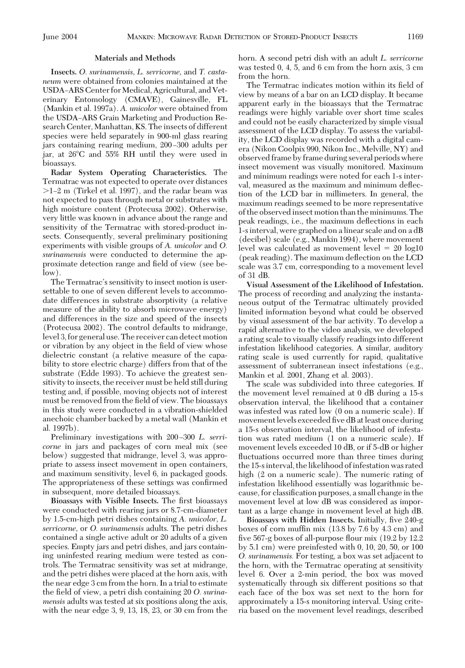#### **Materials and Methods**

**Insects.** *O. surinamensis, L. serricorne,* and *T. castaneum* were obtained from colonies maintained at the USDA-ARS Center for Medical, Agricultural, and Veterinary Entomology (CMAVE), Gainesville, FL (Mankin et al. 1997a). *A. unicolor* were obtained from the USDA-ARS Grain Marketing and Production Research Center, Manhattan, KS. The insects of different species were held separately in 900-ml glass rearing jars containing rearing medium, 200-300 adults per jar, at 26°C and 55% RH until they were used in bioassays.

**Radar System Operating Characteristics.** The Termatrac was not expected to operate over distances -1Ð2 m (Tirkel et al. 1997), and the radar beam was not expected to pass through metal or substrates with high moisture content (Protecusa 2002). Otherwise, very little was known in advance about the range and sensitivity of the Termatrac with stored-product insects. Consequently, several preliminary positioning experiments with visible groups of *A. unicolor* and *O. surinamensis* were conducted to determine the approximate detection range and field of view (see below).

The Termatrac's sensitivity to insect motion is usersettable to one of seven different levels to accommodate differences in substrate absorptivity (a relative measure of the ability to absorb microwave energy) and differences in the size and speed of the insects (Protecusa 2002). The control defaults to midrange, level 3, for general use. The receiver can detect motion or vibration by any object in the field of view whose dielectric constant (a relative measure of the capability to store electric charge) differs from that of the substrate (Edde 1993). To achieve the greatest sensitivity to insects, the receiver must be held still during testing and, if possible, moving objects not of interest must be removed from the field of view. The bioassays in this study were conducted in a vibration-shielded anechoic chamber backed by a metal wall (Mankin et al. 1997b).

Preliminary investigations with 200-300 *L. serricorne* in jars and packages of corn meal mix (see below) suggested that midrange, level 3, was appropriate to assess insect movement in open containers, and maximum sensitivity, level 6, in packaged goods. The appropriateness of these settings was confirmed in subsequent, more detailed bioassays.

Bioassays with Visible Insects. The first bioassays were conducted with rearing jars or 8.7-cm-diameter by 1.5-cm-high petri dishes containing *A. unicolor, L. serricorne,* or *O. surinamensis* adults. The petri dishes contained a single active adult or 20 adults of a given species. Empty jars and petri dishes, and jars containing uninfested rearing medium were tested as controls. The Termatrac sensitivity was set at midrange, and the petri dishes were placed at the horn axis, with the near edge 3 cm from the horn. In a trial to estimate the field of view, a petri dish containing 20 *O. surinamensis* adults was tested at six positions along the axis, with the near edge 3, 9, 13, 18, 23, or 30 cm from the horn. A second petri dish with an adult *L. serricorne* was tested 0, 4, 5, and 6 cm from the horn axis, 3 cm from the horn.

The Termatrac indicates motion within its field of view by meansof a bar on an LCD display. It became apparent early in the bioassays that the Termatrac readings were highly variable over short time scales and could not be easily characterized by simple visual assessment of the LCD display. To assess the variability, the LCD display was recorded with a digital camera (Nikon Coolpix 990, Nikon Inc., Melville, NY) and observed frame by frame during several periods where insect movement was visually monitored. Maximum and minimum readings were noted for each 1-s interval, measured as the maximum and minimum deßection of the LCD bar in millimeters. In general, the maximum readings seemed to be more representative of the observedinsect motion than the minimums. The peak readings, i.e., the maximum deßections in each 1-sinterval, were graphed on a linear scale and on a dB (decibel) scale (e.g., Mankin 1994), where movement level was calculated as movement level  $= 20 \text{ log}10$ (peak reading). The maximum deßection on the LCD scale was 3.7 cm, corresponding to a movement level of 31 dB.

**Visual Assessment of the Likelihood of Infestation.** The process of recording and analyzing the instantaneous output of the Termatrac ultimately provided limited information beyond what could be observed by visual assessment of the bar activity. To develop a rapid alternative to the video analysis, we developed a rating scale to visually classify readings into different infestation likelihood categories. A similar, auditory rating scale is used currently for rapid, qualitative assessment of subterranean insect infestations (e.g., Mankin et al. 2001, Zhang et al. 2003).

The scale was subdivided into three categories. If the movement level remained at 0 dB during a 15-s observation interval, the likelihood that a container was infested was rated low (0 on a numeric scale). If movement levels exceeded five dB at least once during a 15-s observation interval, the likelihood of infestation was rated medium (1 on a numeric scale). If movement levels exceeded 10 dB, or if 5-dB or higher fluctuations occurred more than three times during the 15-s interval, the likelihood of infestation was rated high (2 on a numeric scale). The numeric rating of infestation likelihood essentially was logarithmic because, for classification purposes, a small change in the movement level at low dB was considered as important asa large change in movement level at high dB.

**Bioassays with Hidden Insects.** Initially, five 240-g boxes of corn muffin mix (13.8 by 7.6 by 4.3 cm) and five 567-g boxes of all-purpose flour mix  $(19.2 \text{ by } 12.2)$ by 5.1 cm) were preinfested with 0, 10, 20, 50, or 100 *O. surinamensis.* For testing, a box was set adjacent to the horn, with the Termatrac operating at sensitivity level 6. Over a 2-min period, the box was moved systematically through six different positions so that each face of the box was set next to the horn for approximately a 15-s monitoring interval. Using criteria based on the movement level readings, described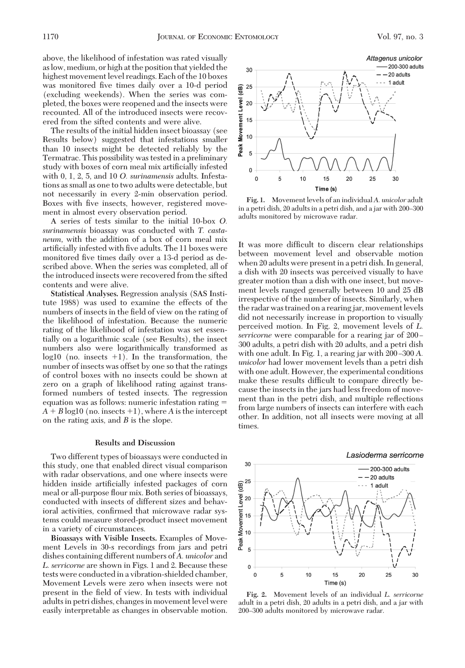above, the likelihood of infestation was rated visually aslow, medium, or high at the position that yielded the highest movement level readings. Each of the 10 boxes was monitored five times daily over a 10-d period (excluding weekends). When the series was completed, the boxeswere reopened and the insectswere recounted. All of the introduced insects were recovered from the sifted contents and were alive.

The results of the initial hidden insect bioassay (see Results below) suggested that infestations smaller than 10 insects might be detected reliably by the Termatrac. This possibility was tested in a preliminary study with boxes of corn meal mix artificially infested with 0, 1, 2, 5, and 10 *O. surinamensis* adults. Infestationsassmall asone to two adultswere detectable, but not necessarily in every 2-min observation period. Boxes with five insects, however, registered movement in almost every observation period.

A series of tests similar to the initial 10-box *O. surinamensis* bioassay was conducted with *T. castaneum,* with the addition of a box of corn meal mix artificially infested with five adults. The 11 boxes were monitored five times daily over a 13-d period as described above. When the series was completed, all of the introduced insects were recovered from the sifted contents and were alive.

**Statistical Analyses.** Regression analysis (SAS Institute 1988) was used to examine the effects of the numbers of insects in the field of view on the rating of the likelihood of infestation. Because the numeric rating of the likelihood of infestation was set essentially on a logarithmic scale (see Results), the insect numbers also were logarithmically transformed as  $log10$  (no. insects  $+1$ ). In the transformation, the number of insects was offset by one so that the ratings of control boxes with no insects could be shown at zero on a graph of likelihood rating against transformed numbers of tested insects. The regression equation was as follows: numeric infestation rating  $=$  $A + B \log 10$  (no. insects  $+1$ ), where *A* is the intercept on the rating axis, and *B* is the slope.

#### **Results and Discussion**

Two different types of bioassays were conducted in this study, one that enabled direct visual comparison with radar observations, and one where insects were hidden inside artificially infested packages of corn meal or all-purpose ßour mix. Both series of bioassays, conducted with insects of different sizes and behavioral activities, confirmed that microwave radar systems could measure stored-product insect movement in a variety of circumstances.

Bioassays with Visible Insects. Examples of Movement Levels in 30-s recordings from jars and petri dishes containing different numbers of A. unicolor and *L. serricorne* are shown in Figs. 1 and 2. Because these tests were conducted in a vibration-shielded chamber, Movement Levels were zero when insects were not present in the field of view. In tests with individual adults in petri dishes, changes in movement level were easily interpretable as changes in observable motion.



Fig. 1. Movement levels of an individual A. unicolor adult in a petri dish, 20 adults in a petri dish, and a jar with 200-300 adults monitored by microwave radar.

It was more difficult to discern clear relationships between movement level and observable motion when 20 adults were present in a petri dish. In general, a dish with 20 insects was perceived visually to have greater motion than a dish with one insect, but movement levels ranged generally between 10 and 25 dB irrespective of the number of insects. Similarly, when the radar wastrained on a rearing jar, movement levels did not necessarily increase in proportion to visually perceived motion. In Fig. 2, movement levels of *L*. *serricorne* were comparable for a rearing jar of 200 – 300 adults, a petri dish with 20 adults, and a petri dish with one adult. In Fig. 1, a rearing jar with  $200 - 300 A$ . *unicolor* had lower movement levels than a petri dish with one adult. However, the experimental conditions make these results difficult to compare directly because the insects in the jars had less freedom of movement than in the petri dish, and multiple reßections from large numbers of insects can interfere with each other. In addition, not all insects were moving at all times.





Fig. 2. Movement levels of an individual *L. serricorne* adult in a petri dish, 20 adults in a petri dish, and a jar with 200-300 adults monitored by microwave radar.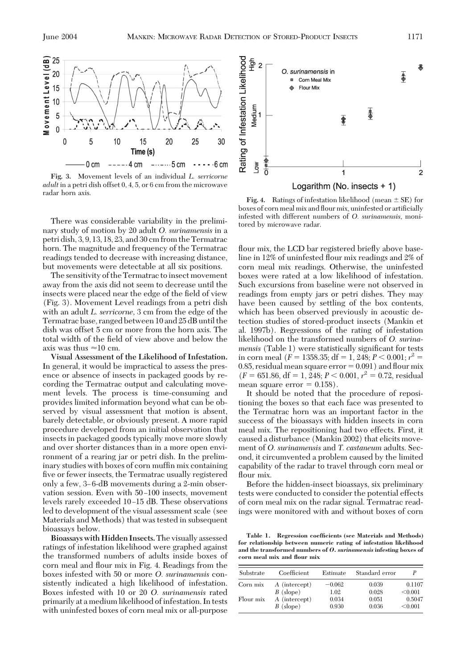

Fig. 3. Movement levels of an individual *L. serricorne adult* in a petri dish offset 0, 4, 5, or 6 cm from the microwave radar horn axis.

There was considerable variability in the preliminary study of motion by 20 adult *O. surinamensis* in a petri dish, 3, 9, 13, 18, 23, and 30 cm from the Termatrac horn. The magnitude and frequency of the Termatrac readings tended to decrease with increasing distance, but movements were detectable at all six positions.

The sensitivity of the Termatrac to insect movement away from the axis did not seem to decrease until the insects were placed near the edge of the field of view (Fig. 3). Movement Level readings from a petri dish with an adult *L. serricorne,* 3 cm from the edge of the Termatrac base, ranged between 10 and 25 dB until the dish was offset 5 cm or more from the horn axis. The total width of the field of view above and below the axis was thus  $\approx 10$  cm.

**Visual Assessment of the Likelihood of Infestation.** In general, it would be impractical to assess the presence or absence of insects in packaged goods by recording the Termatrac output and calculating movement levels. The process is time-consuming and provides limited information beyond what can be observed by visual assessment that motion is absent, barely detectable, or obviously present. A more rapid procedure developed from an initial observation that insects in packaged goods typically move more slowly and over shorter distances than in a more open environment of a rearing jar or petri dish. In the preliminary studies with boxes of corn muffin mix containing five or fewer insects, the Termatrac usually registered only a few, 3–6-dB movements during a 2-min observation session. Even with 50-100 insects, movement levels rarely exceeded 10-15 dB. These observations led to development of the visual assessment scale (see Materials and Methods) that was tested in subsequent bioassays below.

**Bioassays with Hidden Insects.**The visually assessed ratings of infestation likelihood were graphed against the transformed numbers of adults inside boxes of corn meal and flour mix in Fig. 4. Readings from the boxesinfested with 50 or more *O. surinamensis* consistently indicated a high likelihood of infestation. Boxesinfested with 10 or 20 *O. surinamensis* rated primarily at a medium likelihood of infestation. In tests with uninfested boxes of corn meal mix or all-purpose



**Fig. 4.** Ratings of infestation likelihood (mean  $\pm$  SE) for boxes of corn meal mix and flour mix, uninfested or artificially infested with different numbers of *O. surinamensis*, monitored by microwave radar.

flour mix, the LCD bar registered briefly above baseline in 12% of uninfested ßour mix readings and 2% of corn meal mix readings. Otherwise, the uninfested boxeswere rated at a low likelihood of infestation. Such excursions from baseline were not observed in readings from empty jars or petri dishes. They may have been caused by settling of the box contents, which has been observed previously in acoustic detection studies of stored-product insects (Mankin et al. 1997b). Regressions of the rating of infestation likelihood on the transformed numbers of *O. surinamensis* (Table 1) were statistically significant for tests in corn meal ( $F = 1358.35$ ; df = 1, 248;  $P < 0.001$ ;  $r^2 =$ 0.85, residual mean square error  $= 0.091$ ) and flour mix  $(F = 651.86, df = 1, 248; P < 0.001, r<sup>2</sup> = 0.72, residual$ mean square error  $= 0.158$ .

It should be noted that the procedure of repositioning the boxes so that each face was presented to the Termatrac horn was an important factor in the success of the bioassays with hidden insects in corn meal mix. The repositioning had two effects. First, it caused a disturbance (Mankin 2002) that elicits movement of *O. surinamensis* and *T. castaneum* adults. Second, it circumvented a problem caused by the limited capability of the radar to travel through corn meal or flour mix.

Before the hidden-insect bioassays, six preliminary tests were conducted to consider the potential effects of corn meal mix on the radar signal. Termatrac readings were monitored with and without boxes of corn

**Table 1. Regression coefficients (see Materials and Methods) for relationship between numeric rating of infestation likelihood and the transformed numbers of** *O. surinamensis* **infesting boxes of corn meal mix and flour mix**

| Substrate | Coefficient   | Estimate | Standard error |         |
|-----------|---------------|----------|----------------|---------|
| Corn mix  | A (intercept) | $-0.062$ | 0.039          | 0.1107  |
|           | $B$ (slope)   | 1.02     | 0.028          | < 0.001 |
| Flour mix | A (intercept) | 0.034    | 0.051          | 0.5047  |
|           | $B$ (slope)   | 0.930    | 0.036          | < 0.001 |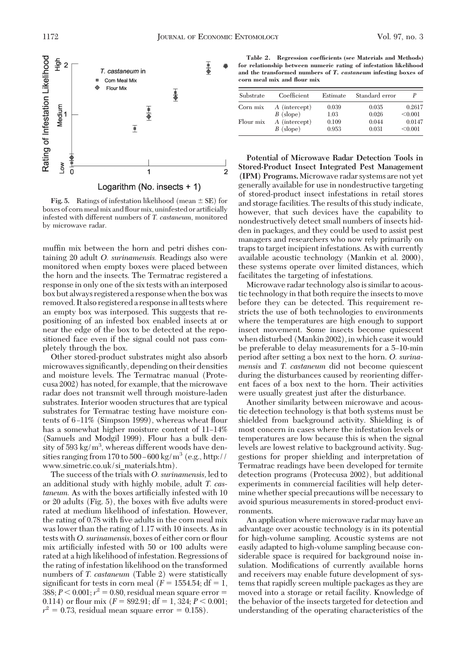

Logarithm (No. insects + 1)

**Fig. 5.** Ratings of infestation likelihood (mean  $\pm$  SE) for boxes of corn meal mix and flour mix, uninfested or artificially infested with different numbers of *T. castaneum*, monitored by microwave radar.

muffin mix between the horn and petri dishes containing 20 adult *O. surinamensis*. Readings also were monitored when empty boxes were placed between the horn and the insects. The Termatrac registered a response in only one of the six tests with an interposed box but always registered a response when the box was removed. It also registered a responsein all tests where an empty box was interposed. This suggests that repositioning of an infested box enabled insects at or near the edge of the box to be detected at the repositioned face even if the signal could not pass completely through the box.

Other stored-product substrates might also absorb microwaves significantly, depending on their densities and moisture levels. The Termatrac manual (Protecusa 2002) has noted, for example, that the microwave radar does not transmit well through moisture-laden substrates. Interior wooden structures that are typical substrates for Termatrac testing have moisture contents of 6–11% (Simpson 1999), whereas wheat flour has a somewhat higher moisture content of 11–14% (Samuels and Modgil 1999). Flour has a bulk density of 593 kg/ $m^3$ , whereas different woods have densities ranging from 170 to 500–600 kg/m<sup>3</sup> (e.g., http:// www.simetric.co.uk/si\_materials.htm).

The success of the trials with *O. surinamensis,* led to an additional study with highly mobile, adult *T. cas*taneum. As with the boxes artificially infested with 10 or 20 adults (Fig.  $5$ ), the boxes with five adults were rated at medium likelihood of infestation. However, the rating of 0.78 with five adults in the corn meal mix was lower than the rating of 1.17 with 10 insects. As in tests with *O. surinamensis*, boxes of either corn or flour mix artificially infested with 50 or 100 adults were rated at a high likelihood of infestation. Regressions of the rating of infestation likelihood on the transformed numbers of *T. castaneum* (Table 2) were statistically significant for tests in corn meal  $(F = 1554.54; df = 1$ ,  $388; P < 0.001; r<sup>2</sup> = 0.80$ , residual mean square error = 0.114) or flour mix  $(F = 892.91; df = 1, 324; P < 0.001;$  $r^2 = 0.73$ , residual mean square error = 0.158).

**Table 2. Regression coefficients (see Materials and Methods) for relationship between numeric rating of infestation likelihood and the transformed numbers of** *T. castaneum* **infesting boxes of corn meal mix and flour mix**

| Substrate | Coefficient   | Estimate | Standard error |         |
|-----------|---------------|----------|----------------|---------|
| Corn mix  | A (intercept) | 0.039    | 0.035          | 0.2617  |
|           | $B$ (slope)   | 1.03     | 0.026          | < 0.001 |
| Flour mix | A (intercept) | 0.109    | 0.044          | 0.0147  |
|           | $B$ (slope)   | 0.953    | 0.031          | < 0.001 |

**Potential of Microwave Radar Detection Tools in Stored-Product Insect Integrated Pest Management (IPM) Programs.**Microwave radar systems are not yet generally available for use in nondestructive targeting of stored-product insect infestations in retail stores and storage facilities. The results of this study indicate, however, that such devices have the capability to nondestructively detect small numbers of insects hidden in packages, and they could be used to assist pest managers and researchers who now rely primarily on traps to target incipient infestations. As with currently available acoustic technology (Mankin et al. 2000), these systems operate over limited distances, which facilitates the targeting of infestations.

Microwave radar technology also is similar to acoustic technology in that both require the insects to move before they can be detected. This requirement restricts the use of both technologies to environments where the temperatures are high enough to support insect movement. Some insects become quiescent when disturbed (Mankin 2002), in which case it would be preferable to delay measurements for a 5–10-min period after setting a box next to the horn. *O. surinamensis* and *T. castaneum* did not become quiescent during the disturbances caused by reorienting different faces of a box next to the horn. Their activities were usually greatest just after the disturbance.

Another similarity between microwave and acoustic detection technology is that both systems must be shielded from background activity. Shielding is of most concern in cases where the infestation levels or temperatures are low because this is when the signal levels are lowest relative to background activity. Suggestions for proper shielding and interpretation of Termatrac readings have been developed for termite detection programs(Protecusa 2002), but additional experiments in commercial facilities will help determine whether special precautions will be necessary to avoid spurious measurements in stored-product environments.

An application where microwave radar may have an advantage over acoustic technology is in its potential for high-volume sampling. Acoustic systems are not easily adapted to high-volume sampling because considerable space is required for background noise insulation. Modifications of currently available horns and receivers may enable future development of systems that rapidly screen multiple packages as they are moved into a storage or retail facility. Knowledge of the behavior of the insects targeted for detection and understanding of the operating characteristics of the